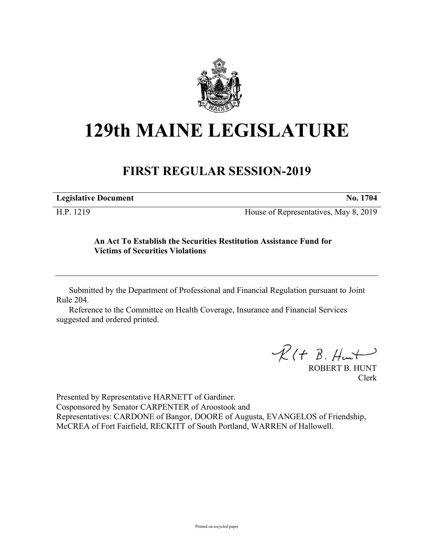

# **129th MAINE LEGISLATURE**

## **FIRST REGULAR SESSION-2019**

| <b>Legislative Document</b> | No. 1704 |
|-----------------------------|----------|
|                             |          |

H.P. 1219 House of Representatives, May 8, 2019

#### **An Act To Establish the Securities Restitution Assistance Fund for Victims of Securities Violations**

Submitted by the Department of Professional and Financial Regulation pursuant to Joint Rule 204.

Reference to the Committee on Health Coverage, Insurance and Financial Services suggested and ordered printed.

 $R(H B. H<sub>ur</sub>)$ 

ROBERT B. HUNT Clerk

Presented by Representative HARNETT of Gardiner. Cosponsored by Senator CARPENTER of Aroostook and Representatives: CARDONE of Bangor, DOORE of Augusta, EVANGELOS of Friendship, McCREA of Fort Fairfield, RECKITT of South Portland, WARREN of Hallowell.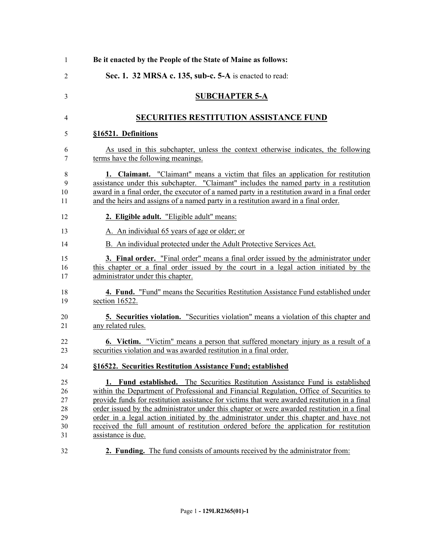| Be it enacted by the People of the State of Maine as follows:                                                                                                                                                                                                                                                                                                      |
|--------------------------------------------------------------------------------------------------------------------------------------------------------------------------------------------------------------------------------------------------------------------------------------------------------------------------------------------------------------------|
| Sec. 1. 32 MRSA c. 135, sub-c. 5-A is enacted to read:                                                                                                                                                                                                                                                                                                             |
| <b>SUBCHAPTER 5-A</b>                                                                                                                                                                                                                                                                                                                                              |
| <b>SECURITIES RESTITUTION ASSISTANCE FUND</b>                                                                                                                                                                                                                                                                                                                      |
| §16521. Definitions                                                                                                                                                                                                                                                                                                                                                |
| As used in this subchapter, unless the context otherwise indicates, the following<br>terms have the following meanings.                                                                                                                                                                                                                                            |
| 1. Claimant. "Claimant" means a victim that files an application for restitution<br>assistance under this subchapter. "Claimant" includes the named party in a restitution<br>award in a final order, the executor of a named party in a restitution award in a final order<br>and the heirs and assigns of a named party in a restitution award in a final order. |
| 2. Eligible adult. "Eligible adult" means:                                                                                                                                                                                                                                                                                                                         |
| A. An individual 65 years of age or older; or                                                                                                                                                                                                                                                                                                                      |
| B. An individual protected under the Adult Protective Services Act.                                                                                                                                                                                                                                                                                                |
| <b>3. Final order.</b> "Final order" means a final order issued by the administrator under<br>this chapter or a final order issued by the court in a legal action initiated by the<br>administrator under this chapter.                                                                                                                                            |
| <b>4. Fund.</b> "Fund" means the Securities Restitution Assistance Fund established under<br>section 16522.                                                                                                                                                                                                                                                        |
| <b>5. Securities violation.</b> "Securities violation" means a violation of this chapter and<br>any related rules.                                                                                                                                                                                                                                                 |
| <b>6.</b> Victim. "Victim" means a person that suffered monetary injury as a result of a<br>securities violation and was awarded restitution in a final order.                                                                                                                                                                                                     |
| §16522. Securities Restitution Assistance Fund; established                                                                                                                                                                                                                                                                                                        |
| 1. Fund established. The Securities Restitution Assistance Fund is established<br>within the Department of Professional and Financial Regulation, Office of Securities to                                                                                                                                                                                          |
| provide funds for restitution assistance for victims that were awarded restitution in a final                                                                                                                                                                                                                                                                      |
| order issued by the administrator under this chapter or were awarded restitution in a final                                                                                                                                                                                                                                                                        |
| order in a legal action initiated by the administrator under this chapter and have not<br>received the full amount of restitution ordered before the application for restitution                                                                                                                                                                                   |
| assistance is due.                                                                                                                                                                                                                                                                                                                                                 |
| <b>2. Funding.</b> The fund consists of amounts received by the administrator from:                                                                                                                                                                                                                                                                                |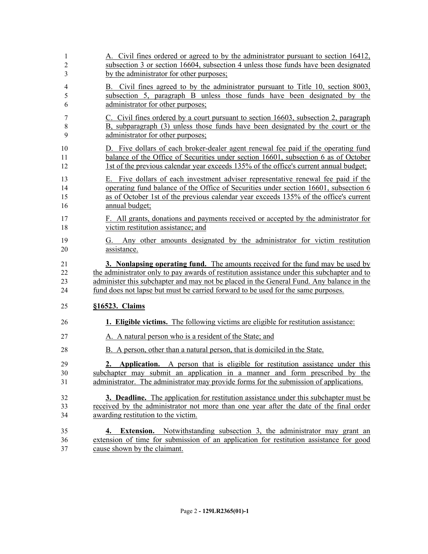| 1                    | A. Civil fines ordered or agreed to by the administrator pursuant to section 16412,                                                                                                                                                                                                    |
|----------------------|----------------------------------------------------------------------------------------------------------------------------------------------------------------------------------------------------------------------------------------------------------------------------------------|
| $\overline{2}$       | subsection 3 or section 16604, subsection 4 unless those funds have been designated                                                                                                                                                                                                    |
| 3                    | by the administrator for other purposes;                                                                                                                                                                                                                                               |
| 4                    | B. Civil fines agreed to by the administrator pursuant to Title 10, section 8003,                                                                                                                                                                                                      |
| 5                    | subsection 5, paragraph B unless those funds have been designated by the                                                                                                                                                                                                               |
| 6                    | administrator for other purposes;                                                                                                                                                                                                                                                      |
| 7                    | C. Civil fines ordered by a court pursuant to section 16603, subsection 2, paragraph                                                                                                                                                                                                   |
| $\,$ $\,$            | B, subparagraph (3) unless those funds have been designated by the court or the                                                                                                                                                                                                        |
| 9                    | administrator for other purposes;                                                                                                                                                                                                                                                      |
| 10                   | D. Five dollars of each broker-dealer agent renewal fee paid if the operating fund                                                                                                                                                                                                     |
| 11                   | balance of the Office of Securities under section 16601, subsection 6 as of October                                                                                                                                                                                                    |
| 12                   | 1st of the previous calendar year exceeds 135% of the office's current annual budget;                                                                                                                                                                                                  |
| 13<br>14<br>15<br>16 | Five dollars of each investment adviser representative renewal fee paid if the<br>Е.<br>operating fund balance of the Office of Securities under section 16601, subsection 6<br>as of October 1st of the previous calendar year exceeds 135% of the office's current<br>annual budget; |
| 17                   | F. All grants, donations and payments received or accepted by the administrator for                                                                                                                                                                                                    |
| 18                   | victim restitution assistance; and                                                                                                                                                                                                                                                     |
| 19                   | G. Any other amounts designated by the administrator for victim restitution                                                                                                                                                                                                            |
| 20                   | assistance.                                                                                                                                                                                                                                                                            |
| 21                   | 3. Nonlapsing operating fund. The amounts received for the fund may be used by                                                                                                                                                                                                         |
| 22                   | the administrator only to pay awards of restitution assistance under this subchapter and to                                                                                                                                                                                            |
| 23                   | administer this subchapter and may not be placed in the General Fund. Any balance in the                                                                                                                                                                                               |
| 24                   | fund does not lapse but must be carried forward to be used for the same purposes.                                                                                                                                                                                                      |
| 25                   | §16523. Claims                                                                                                                                                                                                                                                                         |
| 26                   | 1. Eligible victims. The following victims are eligible for restitution assistance:                                                                                                                                                                                                    |
| 27                   | A. A natural person who is a resident of the State; and                                                                                                                                                                                                                                |
| 28                   | B. A person, other than a natural person, that is domiciled in the State.                                                                                                                                                                                                              |
| 29<br>30<br>31       | <b>Application.</b> A person that is eligible for restitution assistance under this<br>2.<br>subchapter may submit an application in a manner and form prescribed by the<br>administrator. The administrator may provide forms for the submission of applications.                     |
| 32                   | <b>3. Deadline.</b> The application for restitution assistance under this subchapter must be                                                                                                                                                                                           |
| 33                   | received by the administrator not more than one year after the date of the final order                                                                                                                                                                                                 |
| 34                   | awarding restitution to the victim.                                                                                                                                                                                                                                                    |
| 35                   | 4. Extension. Notwithstanding subsection 3, the administrator may grant an                                                                                                                                                                                                             |
| 36                   | extension of time for submission of an application for restitution assistance for good                                                                                                                                                                                                 |
| 37                   | cause shown by the claimant.                                                                                                                                                                                                                                                           |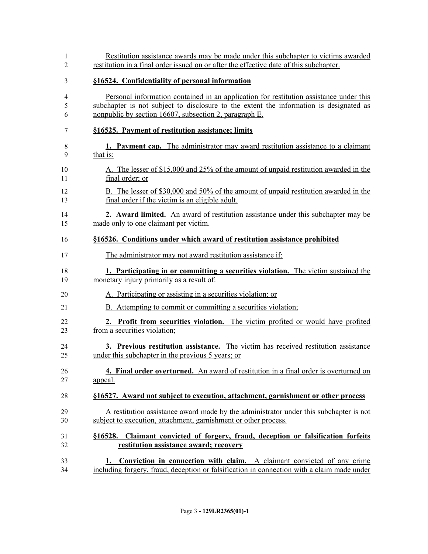| Restitution assistance awards may be made under this subchapter to victims awarded<br>restitution in a final order issued on or after the effective date of this subchapter.                                                               |
|--------------------------------------------------------------------------------------------------------------------------------------------------------------------------------------------------------------------------------------------|
| §16524. Confidentiality of personal information                                                                                                                                                                                            |
| Personal information contained in an application for restitution assistance under this<br>subchapter is not subject to disclosure to the extent the information is designated as<br>nonpublic by section 16607, subsection 2, paragraph E. |
| §16525. Payment of restitution assistance; limits                                                                                                                                                                                          |
| <b>1. Payment cap.</b> The administrator may award restitution assistance to a claimant<br>that is:                                                                                                                                        |
| A. The lesser of \$15,000 and 25% of the amount of unpaid restitution awarded in the<br>final order; or                                                                                                                                    |
| B. The lesser of \$30,000 and 50% of the amount of unpaid restitution awarded in the<br>final order if the victim is an eligible adult.                                                                                                    |
| 2. Award limited. An award of restitution assistance under this subchapter may be<br>made only to one claimant per victim.                                                                                                                 |
| §16526. Conditions under which award of restitution assistance prohibited                                                                                                                                                                  |
| The administrator may not award restitution assistance if:                                                                                                                                                                                 |
| 1. Participating in or committing a securities violation. The victim sustained the<br>monetary injury primarily as a result of:                                                                                                            |
| A. Participating or assisting in a securities violation; or                                                                                                                                                                                |
| <b>B.</b> Attempting to commit or committing a securities violation;                                                                                                                                                                       |
| 2. Profit from securities violation. The victim profited or would have profited<br>from a securities violation;                                                                                                                            |
| 3. Previous restitution assistance. The victim has received restitution assistance<br>under this subchapter in the previous 5 years; or                                                                                                    |
| 4. Final order overturned. An award of restitution in a final order is overturned on<br>appeal.                                                                                                                                            |
| §16527. Award not subject to execution, attachment, garnishment or other process                                                                                                                                                           |
| A restitution assistance award made by the administrator under this subchapter is not<br>subject to execution, attachment, garnishment or other process.                                                                                   |
| §16528. Claimant convicted of forgery, fraud, deception or falsification forfeits<br>restitution assistance award; recovery                                                                                                                |
| 1. Conviction in connection with claim. A claimant convicted of any crime<br>including forgery, fraud, deception or falsification in connection with a claim made under                                                                    |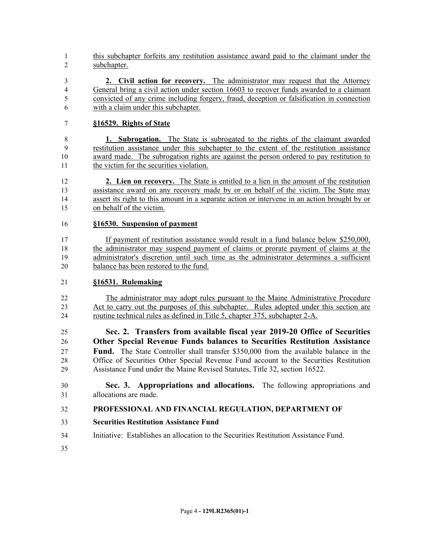- this subchapter forfeits any restitution assistance award paid to the claimant under the subchapter.
- **2. Civil action for recovery.** The administrator may request that the Attorney General bring a civil action under section 16603 to recover funds awarded to a claimant convicted of any crime including forgery, fraud, deception or falsification in connection with a claim under this subchapter.

### **§16529. Rights of State**

 **1. Subrogation.** The State is subrogated to the rights of the claimant awarded restitution assistance under this subchapter to the extent of the restitution assistance award made. The subrogation rights are against the person ordered to pay restitution to the victim for the securities violation.

 **2. Lien on recovery.** The State is entitled to a lien in the amount of the restitution assistance award on any recovery made by or on behalf of the victim. The State may assert its right to this amount in a separate action or intervene in an action brought by or on behalf of the victim.

#### **§16530. Suspension of payment**

 If payment of restitution assistance would result in a fund balance below \$250,000, the administrator may suspend payment of claims or prorate payment of claims at the administrator's discretion until such time as the administrator determines a sufficient balance has been restored to the fund.

#### **§16531. Rulemaking**

 The administrator may adopt rules pursuant to the Maine Administrative Procedure Act to carry out the purposes of this subchapter. Rules adopted under this section are routine technical rules as defined in Title 5, chapter 375, subchapter 2-A.

 **Sec. 2. Transfers from available fiscal year 2019-20 Office of Securities Other Special Revenue Funds balances to Securities Restitution Assistance Fund.** The State Controller shall transfer \$350,000 from the available balance in the Office of Securities Other Special Revenue Fund account to the Securities Restitution Assistance Fund under the Maine Revised Statutes, Title 32, section 16522.

 **Sec. 3. Appropriations and allocations.** The following appropriations and allocations are made.

#### **PROFESSIONAL AND FINANCIAL REGULATION, DEPARTMENT OF**

- **Securities Restitution Assistance Fund**
- Initiative: Establishes an allocation to the Securities Restitution Assistance Fund.
-